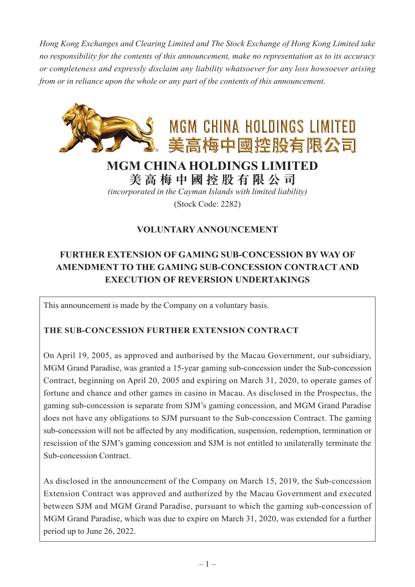*Hong Kong Exchanges and Clearing Limited and The Stock Exchange of Hong Kong Limited take no responsibility for the contents of this announcement, make no representation as to its accuracy or completeness and expressly disclaim any liability whatsoever for any loss howsoever arising from or in reliance upon the whole or any part of the contents of this announcement.*



# **MGM CHINA HOLDINGS LIMITED**

**美高梅中國控股有限公司** *(incorporated in the Cayman Islands with limited liability)*

(Stock Code: 2282)

# **VOLUNTARY ANNOUNCEMENT**

# **FURTHER EXTENSION OF GAMING SUB-CONCESSION BY WAY OF AMENDMENT TO THE GAMING SUB-CONCESSION CONTRACT AND EXECUTION OF REVERSION UNDERTAKINGS**

This announcement is made by the Company on a voluntary basis.

### **THE SUB-CONCESSION FURTHER EXTENSION CONTRACT**

On April 19, 2005, as approved and authorised by the Macau Government, our subsidiary, MGM Grand Paradise, was granted a 15-year gaming sub-concession under the Sub-concession Contract, beginning on April 20, 2005 and expiring on March 31, 2020, to operate games of fortune and chance and other games in casino in Macau. As disclosed in the Prospectus, the gaming sub-concession is separate from SJM's gaming concession, and MGM Grand Paradise does not have any obligations to SJM pursuant to the Sub-concession Contract. The gaming sub-concession will not be affected by any modification, suspension, redemption, termination or rescission of the SJM's gaming concession and SJM is not entitled to unilaterally terminate the Sub-concession Contract.

As disclosed in the announcement of the Company on March 15, 2019, the Sub-concession Extension Contract was approved and authorized by the Macau Government and executed between SJM and MGM Grand Paradise, pursuant to which the gaming sub-concession of MGM Grand Paradise, which was due to expire on March 31, 2020, was extended for a further period up to June 26, 2022.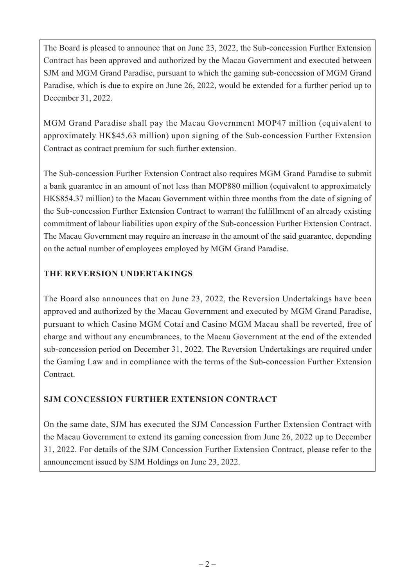The Board is pleased to announce that on June 23, 2022, the Sub-concession Further Extension Contract has been approved and authorized by the Macau Government and executed between SJM and MGM Grand Paradise, pursuant to which the gaming sub-concession of MGM Grand Paradise, which is due to expire on June 26, 2022, would be extended for a further period up to December 31, 2022.

MGM Grand Paradise shall pay the Macau Government MOP47 million (equivalent to approximately HK\$45.63 million) upon signing of the Sub-concession Further Extension Contract as contract premium for such further extension.

The Sub-concession Further Extension Contract also requires MGM Grand Paradise to submit a bank guarantee in an amount of not less than MOP880 million (equivalent to approximately HK\$854.37 million) to the Macau Government within three months from the date of signing of the Sub-concession Further Extension Contract to warrant the fulfillment of an already existing commitment of labour liabilities upon expiry of the Sub-concession Further Extension Contract. The Macau Government may require an increase in the amount of the said guarantee, depending on the actual number of employees employed by MGM Grand Paradise.

### **THE REVERSION UNDERTAKINGS**

The Board also announces that on June 23, 2022, the Reversion Undertakings have been approved and authorized by the Macau Government and executed by MGM Grand Paradise, pursuant to which Casino MGM Cotai and Casino MGM Macau shall be reverted, free of charge and without any encumbrances, to the Macau Government at the end of the extended sub-concession period on December 31, 2022. The Reversion Undertakings are required under the Gaming Law and in compliance with the terms of the Sub-concession Further Extension Contract.

### **SJM CONCESSION FURTHER EXTENSION CONTRACT**

On the same date, SJM has executed the SJM Concession Further Extension Contract with the Macau Government to extend its gaming concession from June 26, 2022 up to December 31, 2022. For details of the SJM Concession Further Extension Contract, please refer to the announcement issued by SJM Holdings on June 23, 2022.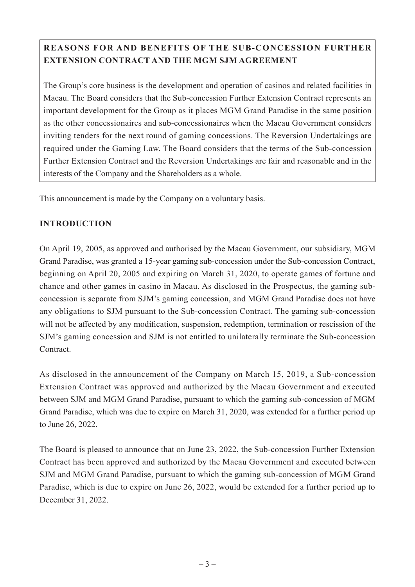# **REASONS FOR AND BENEFITS OF THE SUB-CONCESSION FURTHER EXTENSION CONTRACT AND THE MGM SJM AGREEMENT**

The Group's core business is the development and operation of casinos and related facilities in Macau. The Board considers that the Sub-concession Further Extension Contract represents an important development for the Group as it places MGM Grand Paradise in the same position as the other concessionaires and sub-concessionaires when the Macau Government considers inviting tenders for the next round of gaming concessions. The Reversion Undertakings are required under the Gaming Law. The Board considers that the terms of the Sub-concession Further Extension Contract and the Reversion Undertakings are fair and reasonable and in the interests of the Company and the Shareholders as a whole.

This announcement is made by the Company on a voluntary basis.

#### **INTRODUCTION**

On April 19, 2005, as approved and authorised by the Macau Government, our subsidiary, MGM Grand Paradise, was granted a 15-year gaming sub-concession under the Sub-concession Contract, beginning on April 20, 2005 and expiring on March 31, 2020, to operate games of fortune and chance and other games in casino in Macau. As disclosed in the Prospectus, the gaming subconcession is separate from SJM's gaming concession, and MGM Grand Paradise does not have any obligations to SJM pursuant to the Sub-concession Contract. The gaming sub-concession will not be affected by any modification, suspension, redemption, termination or rescission of the SJM's gaming concession and SJM is not entitled to unilaterally terminate the Sub-concession Contract.

As disclosed in the announcement of the Company on March 15, 2019, a Sub-concession Extension Contract was approved and authorized by the Macau Government and executed between SJM and MGM Grand Paradise, pursuant to which the gaming sub-concession of MGM Grand Paradise, which was due to expire on March 31, 2020, was extended for a further period up to June 26, 2022.

The Board is pleased to announce that on June 23, 2022, the Sub-concession Further Extension Contract has been approved and authorized by the Macau Government and executed between SJM and MGM Grand Paradise, pursuant to which the gaming sub-concession of MGM Grand Paradise, which is due to expire on June 26, 2022, would be extended for a further period up to December 31, 2022.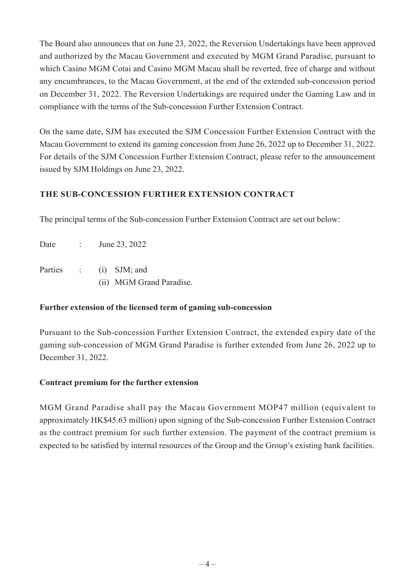The Board also announces that on June 23, 2022, the Reversion Undertakings have been approved and authorized by the Macau Government and executed by MGM Grand Paradise, pursuant to which Casino MGM Cotai and Casino MGM Macau shall be reverted, free of charge and without any encumbrances, to the Macau Government, at the end of the extended sub-concession period on December 31, 2022. The Reversion Undertakings are required under the Gaming Law and in compliance with the terms of the Sub-concession Further Extension Contract.

On the same date, SJM has executed the SJM Concession Further Extension Contract with the Macau Government to extend its gaming concession from June 26, 2022 up to December 31, 2022. For details of the SJM Concession Further Extension Contract, please refer to the announcement issued by SJM Holdings on June 23, 2022.

#### **THE SUB-CONCESSION FURTHER EXTENSION CONTRACT**

The principal terms of the Sub-concession Further Extension Contract are set out below:

| Date | $\mathcal{L}^{\text{max}}$ | June 23, 2022            |
|------|----------------------------|--------------------------|
|      |                            | Parties : (i) SJM; and   |
|      |                            | (ii) MGM Grand Paradise. |

#### **Further extension of the licensed term of gaming sub-concession**

Pursuant to the Sub-concession Further Extension Contract, the extended expiry date of the gaming sub-concession of MGM Grand Paradise is further extended from June 26, 2022 up to December 31, 2022.

#### **Contract premium for the further extension**

MGM Grand Paradise shall pay the Macau Government MOP47 million (equivalent to approximately HK\$45.63 million) upon signing of the Sub-concession Further Extension Contract as the contract premium for such further extension. The payment of the contract premium is expected to be satisfied by internal resources of the Group and the Group's existing bank facilities.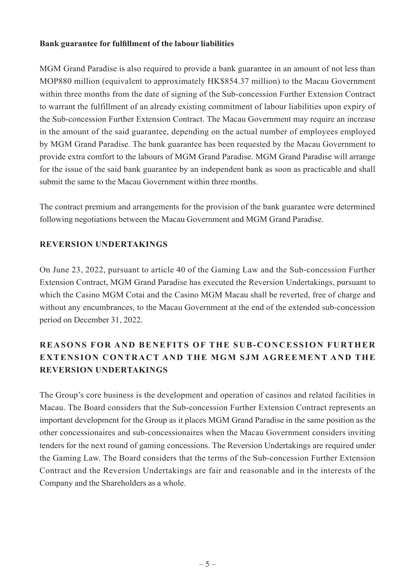#### **Bank guarantee for fulfillment of the labour liabilities**

MGM Grand Paradise is also required to provide a bank guarantee in an amount of not less than MOP880 million (equivalent to approximately HK\$854.37 million) to the Macau Government within three months from the date of signing of the Sub-concession Further Extension Contract to warrant the fulfillment of an already existing commitment of labour liabilities upon expiry of the Sub-concession Further Extension Contract. The Macau Government may require an increase in the amount of the said guarantee, depending on the actual number of employees employed by MGM Grand Paradise. The bank guarantee has been requested by the Macau Government to provide extra comfort to the labours of MGM Grand Paradise. MGM Grand Paradise will arrange for the issue of the said bank guarantee by an independent bank as soon as practicable and shall submit the same to the Macau Government within three months.

The contract premium and arrangements for the provision of the bank guarantee were determined following negotiations between the Macau Government and MGM Grand Paradise.

#### **REVERSION UNDERTAKINGS**

On June 23, 2022, pursuant to article 40 of the Gaming Law and the Sub-concession Further Extension Contract, MGM Grand Paradise has executed the Reversion Undertakings, pursuant to which the Casino MGM Cotai and the Casino MGM Macau shall be reverted, free of charge and without any encumbrances, to the Macau Government at the end of the extended sub-concession period on December 31, 2022.

# **REASONS FOR AND BENEFITS OF THE SUB-CONCESSION FURTHER EXTENSION CONTRACT AND THE MGM SJM AGREEMENT AND THE REVERSION UNDERTAKINGS**

The Group's core business is the development and operation of casinos and related facilities in Macau. The Board considers that the Sub-concession Further Extension Contract represents an important development for the Group as it places MGM Grand Paradise in the same position as the other concessionaires and sub-concessionaires when the Macau Government considers inviting tenders for the next round of gaming concessions. The Reversion Undertakings are required under the Gaming Law. The Board considers that the terms of the Sub-concession Further Extension Contract and the Reversion Undertakings are fair and reasonable and in the interests of the Company and the Shareholders as a whole.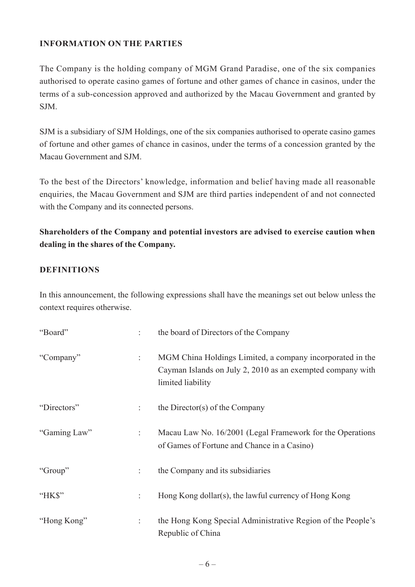#### **INFORMATION ON THE PARTIES**

The Company is the holding company of MGM Grand Paradise, one of the six companies authorised to operate casino games of fortune and other games of chance in casinos, under the terms of a sub-concession approved and authorized by the Macau Government and granted by SJM.

SJM is a subsidiary of SJM Holdings, one of the six companies authorised to operate casino games of fortune and other games of chance in casinos, under the terms of a concession granted by the Macau Government and SJM.

To the best of the Directors' knowledge, information and belief having made all reasonable enquiries, the Macau Government and SJM are third parties independent of and not connected with the Company and its connected persons.

### **Shareholders of the Company and potential investors are advised to exercise caution when dealing in the shares of the Company.**

#### **DEFINITIONS**

In this announcement, the following expressions shall have the meanings set out below unless the context requires otherwise.

| "Board"      | $\ddot{\phantom{a}}$ | the board of Directors of the Company                                                                                                        |
|--------------|----------------------|----------------------------------------------------------------------------------------------------------------------------------------------|
| "Company"    | $\ddot{\phantom{a}}$ | MGM China Holdings Limited, a company incorporated in the<br>Cayman Islands on July 2, 2010 as an exempted company with<br>limited liability |
| "Directors"  | $\ddot{\phantom{a}}$ | the Director(s) of the Company                                                                                                               |
| "Gaming Law" | $\ddot{\phantom{a}}$ | Macau Law No. 16/2001 (Legal Framework for the Operations<br>of Games of Fortune and Chance in a Casino)                                     |
| "Group"      | $\ddot{\phantom{a}}$ | the Company and its subsidiaries                                                                                                             |
| "HK\$"       | $\ddot{\cdot}$       | Hong Kong dollar(s), the lawful currency of Hong Kong                                                                                        |
| "Hong Kong"  | ÷                    | the Hong Kong Special Administrative Region of the People's<br>Republic of China                                                             |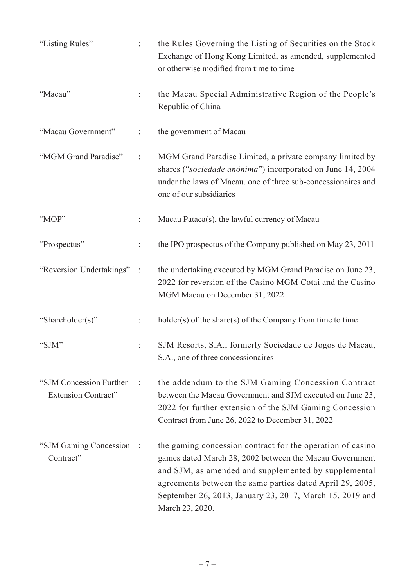| "Listing Rules"                                | $\ddot{\cdot}$ | the Rules Governing the Listing of Securities on the Stock<br>Exchange of Hong Kong Limited, as amended, supplemented<br>or otherwise modified from time to time                                                                                                                                                          |
|------------------------------------------------|----------------|---------------------------------------------------------------------------------------------------------------------------------------------------------------------------------------------------------------------------------------------------------------------------------------------------------------------------|
| "Macau"                                        | ÷              | the Macau Special Administrative Region of the People's<br>Republic of China                                                                                                                                                                                                                                              |
| "Macau Government"                             | $\ddot{\cdot}$ | the government of Macau                                                                                                                                                                                                                                                                                                   |
| "MGM Grand Paradise"                           | ÷              | MGM Grand Paradise Limited, a private company limited by<br>shares ("sociedade anónima") incorporated on June 14, 2004<br>under the laws of Macau, one of three sub-concessionaires and<br>one of our subsidiaries                                                                                                        |
| "MOP"                                          | ÷              | Macau Pataca(s), the lawful currency of Macau                                                                                                                                                                                                                                                                             |
| "Prospectus"                                   | ÷              | the IPO prospectus of the Company published on May 23, 2011                                                                                                                                                                                                                                                               |
| "Reversion Undertakings" :                     |                | the undertaking executed by MGM Grand Paradise on June 23,<br>2022 for reversion of the Casino MGM Cotai and the Casino<br>MGM Macau on December 31, 2022                                                                                                                                                                 |
| "Shareholder(s)"                               | ÷              | $holder(s)$ of the share(s) of the Company from time to time                                                                                                                                                                                                                                                              |
| "SJM"                                          |                | SJM Resorts, S.A., formerly Sociedade de Jogos de Macau,<br>S.A., one of three concessionaires                                                                                                                                                                                                                            |
| "SJM Concession Further<br>Extension Contract" |                | the addendum to the SJM Gaming Concession Contract<br>between the Macau Government and SJM executed on June 23,<br>2022 for further extension of the SJM Gaming Concession<br>Contract from June 26, 2022 to December 31, 2022                                                                                            |
| "SJM Gaming Concession :<br>Contract"          |                | the gaming concession contract for the operation of casino<br>games dated March 28, 2002 between the Macau Government<br>and SJM, as amended and supplemented by supplemental<br>agreements between the same parties dated April 29, 2005,<br>September 26, 2013, January 23, 2017, March 15, 2019 and<br>March 23, 2020. |